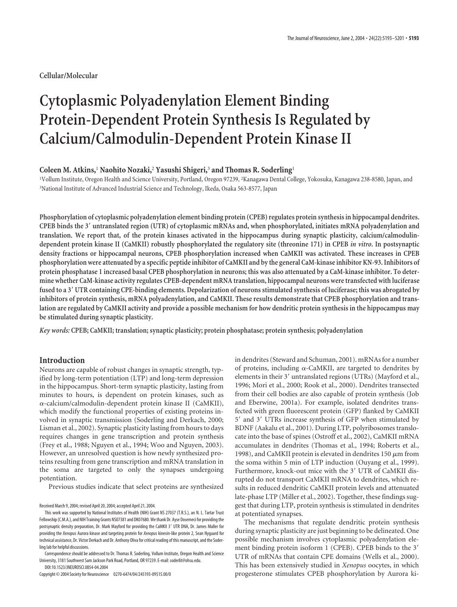**Cellular/Molecular**

# **Cytoplasmic Polyadenylation Element Binding Protein-Dependent Protein Synthesis Is Regulated by Calcium/Calmodulin-Dependent Protein Kinase II**

## **Coleen M. Atkins,**<sup>1</sup> **Naohito Nozaki,**<sup>2</sup> **Yasushi Shigeri,**<sup>3</sup> **and Thomas R. Soderling**<sup>1</sup>

1 Vollum Institute, Oregon Health and Science University, Portland, Oregon 97239, <sup>2</sup> Kanagawa Dental College, Yokosuka, Kanagawa 238-8580, Japan, and 3 National Institute of Advanced Industrial Science and Technology, Ikeda, Osaka 563-8577, Japan

**Phosphorylation of cytoplasmic polyadenylation element binding protein (CPEB) regulates protein synthesis in hippocampal dendrites. CPEB binds the 3 untranslated region (UTR) of cytoplasmic mRNAs and, when phosphorylated, initiates mRNA polyadenylation and translation. We report that, of the protein kinases activated in the hippocampus during synaptic plasticity, calcium/calmodulindependent protein kinase II (CaMKII) robustly phosphorylated the regulatory site (threonine 171) in CPEB** *in vitro***. In postsynaptic density fractions or hippocampal neurons, CPEB phosphorylation increased when CaMKII was activated. These increases in CPEB phosphorylation were attenuated by a specific peptide inhibitor of CaMKII and by the general CaM-kinase inhibitor KN-93. Inhibitors of protein phosphatase 1 increased basal CPEB phosphorylation in neurons; this was also attenuated by a CaM-kinase inhibitor. To determine whether CaM-kinase activity regulates CPEB-dependent mRNA translation, hippocampal neurons were transfected with luciferase fused to a 3 UTR containing CPE-binding elements. Depolarization of neurons stimulated synthesis of luciferase; this was abrogated by inhibitors of protein synthesis, mRNA polyadenylation, and CaMKII. These results demonstrate that CPEB phosphorylation and translation are regulated by CaMKII activity and provide a possible mechanism for how dendritic protein synthesis in the hippocampus may be stimulated during synaptic plasticity.**

*Key words:* **CPEB; CaMKII; translation; synaptic plasticity; protein phosphatase; protein synthesis; polyadenylation**

## **Introduction**

Neurons are capable of robust changes in synaptic strength, typified by long-term potentiation (LTP) and long-term depression in the hippocampus. Short-term synaptic plasticity, lasting from minutes to hours, is dependent on protein kinases, such as  $\alpha$ -calcium/calmodulin-dependent protein kinase II (CaMKII), which modify the functional properties of existing proteins involved in synaptic transmission (Soderling and Derkach, 2000; Lisman et al., 2002). Synaptic plasticity lasting from hours to days requires changes in gene transcription and protein synthesis (Frey et al., 1988; Nguyen et al., 1994; Woo and Nguyen, 2003). However, an unresolved question is how newly synthesized proteins resulting from gene transcription and mRNA translation in the soma are targeted to only the synapses undergoing potentiation.

Previous studies indicate that select proteins are synthesized

Correspondence should be addressed to Dr. Thomas R. Soderling, Vollum Institute, Oregon Health and Science University, 3181 Southwest Sam Jackson Park Road, Portland, OR 97239. E-mail: soderlit@ohsu.edu. DOI:10.1523/JNEUROSCI.0854-04.2004

Copyright © 2004 Society for Neuroscience 0270-6474/04/245193-09\$15.00/0

in dendrites (Steward and Schuman, 2001). mRNAs for a number of proteins, including  $\alpha$ -CaMKII, are targeted to dendrites by elements in their 3' untranslated regions (UTRs) (Mayford et al., 1996; Mori et al., 2000; Rook et al., 2000). Dendrites transected from their cell bodies are also capable of protein synthesis (Job and Eberwine, 2001a). For example, isolated dendrites transfected with green fluorescent protein (GFP) flanked by CaMKII 5' and 3' UTRs increase synthesis of GFP when stimulated by BDNF (Aakalu et al., 2001). During LTP, polyribosomes translocate into the base of spines (Ostroff et al., 2002), CaMKII mRNA accumulates in dendrites (Thomas et al., 1994; Roberts et al., 1998), and CaMKII protein is elevated in dendrites 150  $\mu$ m from the soma within 5 min of LTP induction (Ouyang et al., 1999). Furthermore, knock-out mice with the 3' UTR of CaMKII disrupted do not transport CaMKII mRNA to dendrites, which results in reduced dendritic CaMKII protein levels and attenuated late-phase LTP (Miller et al., 2002). Together, these findings suggest that during LTP, protein synthesis is stimulated in dendrites at potentiated synapses.

The mechanisms that regulate dendritic protein synthesis during synaptic plasticity are just beginning to be delineated. One possible mechanism involves cytoplasmic polyadenylation element binding protein isoform 1 (CPEB). CPEB binds to the 3' UTR of mRNAs that contain CPE domains (Wells et al., 2000). This has been extensively studied in *Xenopus* oocytes, in which progesterone stimulates CPEB phosphorylation by Aurora ki-

Received March 9, 2004; revised April 20, 2004; accepted April 21, 2004.

This work was supported by National Institutes of Health (NIH) Grant NS 27037 (T.R.S.), an N. L. Tartar Trust Fellowship (C.M.A.), and NIH Training Grants NS07381 and DK07680. We thank Dr. Ayse Dosemeci for providing the postsynaptic density preparation, Dr. Mark Mayford for providing the CaMKII 3' UTR DNA, Dr. James Maller for providing the *Xenopus* Aurora kinase and targeting protein for *Xenopus* kinesin-like protein 2, Sean Nygaard for technical assistance, Dr. Victor Derkach and Dr. Anthony Oliva for critical reading of this manuscript, and the Soderling lab for helpful discussions.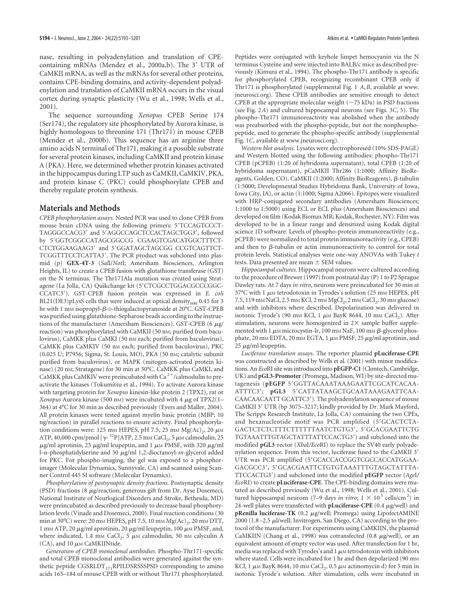nase, resulting in polyadenylation and translation of CPEcontaining mRNAs (Mendez et al., 2000a,b). The 3' UTR of CaMKII mRNA, as well as the mRNAs for several other proteins, contains CPE-binding domains, and activity-dependent polyadenylation and translation of CaMKII mRNA occurs in the visual cortex during synaptic plasticity (Wu et al., 1998; Wells et al., 2001).

The sequence surrounding *Xenopus* CPEB Serine 174 (Ser174), the regulatory site phosphorylated by Aurora kinase, is highly homologous to threonine 171 (Thr171) in mouse CPEB (Mendez et al., 2000b). This sequence has an arginine three amino acids N terminal of Thr171, making it a possible substrate for several protein kinases, including CaMKII and protein kinase A (PKA). Here, we determined whether protein kinases activated in the hippocampus during LTP such as CaMKII, CaMKIV, PKA, and protein kinase C (PKC) could phosphorylate CPEB and thereby regulate protein synthesis.

## **Materials and Methods**

*CPEB phosphorylation assays.* Nested PCR was used to clone CPEB from mouse brain cDNA using the following primers: 5TCCAGTCCCT-TAGGGCCACG3' and 5'AGGCCAGCTCCACTAGCTGG3', followed by 5'GGTCGGCCATAGCGGCCG CGAAGTCGACATGGCTTTCT-CTCTGGAAGAAG3' and 5'GGATAGCTAGCGG CCGTCAGTTCT-TCGGTTTCCTCATTA3'. The PCR product was subcloned into plasmid (p) **GEX-4T-3** (*Sal*I/*Not*I; Amersham Biosciences, Arlington Heights, IL) to create a CPEB fusion with glutathione transferase (GST) on the N terminus. The Thr171Ala mutation was created using Stratagene (La Jolla, CA) Quikchange kit (5'CTCGCCTGGACGCCCGGC-CCATC3). GST-CPEB fusion protein was expressed in *E. coli* BL21(DE3)pLysS cells that were induced at optical density<sub>600</sub> 0.45 for 3 hr with 1 mm isopropyl- $\beta$ -D-thiogalactopyranoside at 20°C. GST-CPEB was purified using glutathione-Sepharose beads according to the instructions of the manufacturer (Amersham Biosciences). GST-CPEB (6  $\mu$ g/ reaction) was phosphorylated with CaMKII (50 nm; purified from baculovirus), CaMKK plus CaMKI (50 nm each; purified from baculovirus), CaMKK plus CaMKIV (50 nM each; purified from baculovirus), PKC (0.025 U; P7956; Sigma, St. Louis, MO), PKA (50 nM; catalytic subunit purified from baculovirus), or MAPK (mitogen-activated protein kinase) (20 nm; Stratagene) for 30 min at 30°C. CaMKK plus CaMKI, and CaMKK plus CaMKIV were preincubated with Ca $2^{+}/c$ almodulin to preactivate the kinases (Tokumitsu et al., 1994). To activate Aurora kinase with targeting protein for *Xenopus* kinesin-like protein 2 (TPX2), rat or Xenopus Aurora kinase (500 nm) were incubated with 4  $\mu$ g of TPX2(1– 364) at 4°C for 30 min as described previously (Eyers and Maller, 2004). All protein kinases were tested against myelin basic protein (MBP; 10 ng/reaction) in parallel reactions to ensure activity. Final phosphorylation conditions were: 125 mm HEPES, pH 7.5, 25 mm  $Mg(Ac)_{2}$ , 20  $\mu$ m ATP, 40,000 cpm/pmol  $[\gamma$ -<sup>32</sup>P]ATP, 2.5 mm CaCl<sub>2</sub>, 5  $\mu$ m calmodulin, 25  $\mu$ g/ml aprotinin, 25  $\mu$ g/ml leupeptin, and 1  $\mu$ M PMSF, with 320  $\mu$ g/ml l-α-phosphatidylserine and 30 µg/ml 1,2-dioctanoyl-*sn-*glycerol added for PKC. For phospho-imaging, the gel was exposed to a phosphorimager (Molecular Dynamics, Sunnyvale, CA) and scanned using Scanner Control 445 SI software (Molecular Dynamics).

*Phosphorylation of postsynaptic density fractions.* Postsynaptic density (PSD) fractions (8 µg/reaction; generous gift from Dr. Ayse Dosemeci, National Institute of Neurlogical Disorders and Stroke, Bethesda, MD) were preincubated as described previously to decrease basal phosphorylation levels (Vinade and Dosemeci, 2000). Final reaction conditions (30 min at 30°C) were: 20 mm HEPES, pH 7.5, 10 mm  $Mg(Ac)_{2}$ , 20 mm DTT, 1 mm ATP, 20  $\mu$ g/ml aprotinin, 20  $\mu$ g/ml leupeptin, 100  $\mu$ m PMSF, and, where indicated, 1.4 mm  $CaCl<sub>2</sub>$ , 5  $\mu$ m calmodulin, 50 nm calyculin A  $(CA)$ , and 10  $\mu$ M CaMKIINtide.

*Generation of CPEB monoclonal antibodies.* Phospho-Thr171-specific and total CPEB monoclonal antibodies were generated against the synthetic peptide  $CGSRLDT_{171}RPILDSRSSPSD$  corresponding to amino acids 165–184 of mouse CPEB with or without Thr171 phosphorylated. Peptides were conjugated with keyhole limpet hemocyanin via the N terminus Cysteine and were injected into BALB/c mice as described previously (Kimura et al., 1994). The phospho-Thr171 antibody is specific for phosphorylated CPEB, recognizing recombinant CPEB only if Thr171 is phosphorylated (supplemental Fig. 1 *A*,*B*, available at www. jneurosci.org). These CPEB antibodies are sensitive enough to detect CPEB at the appropriate molecular weight  $(\sim 75$  kDa) in PSD fractions (see Fig. 2*A*) and cultured hippocampal neurons (see Figs. 3*C*, 5). The phospho-Thr171 immunoreactivity was abolished when the antibody was preabsorbed with the phospho-peptide, but not the nonphosphopeptide, used to generate the phospho-specific antibody (supplemental Fig. 1*C*, available at www.jneurosci.org).

*Western blot analysis.* Lysates were electrophoresed (10% SDS-PAGE) and Western blotted using the following antibodies: phospho-Thr171 CPEB (pCPEB) (1:20 of hybridoma supernatant), total CPEB (1:20 of hybridoma supernatant), pCaMKII Thr286 (1:1000; Affinity BioReagents, Golden, CO), CaMKII (1:2000; Affinity BioReagents),  $\beta$ -tubulin (1:5000; Developmental Studies Hybridoma Bank, University of Iowa, Iowa City, IA), or actin (1:1000; Sigma A2066). Epitopes were visualized with HRP-conjugated secondary antibodies (Amersham Biosciences; 1:1000 to 1:5000) using ECL or ECL plus (Amersham Biosciences) and developed on film (Kodak Biomax MR; Kodak, Rochester, NY). Film was developed to be in a linear range and densitized using Kodak digital science 1D software. Levels of phospho-protein immunoreactivity (e.g., pCPEB) were normalized to total protein immunoreactivity (e.g., CPEB) and then to  $\beta$ -tubulin or actin immunoreactivity to control for total protein levels. Statistical analyses were one-way ANOVAs with Tukey *t* tests. Data presented are mean  $\pm$  SEM values.

*Hippocampal cultures.* Hippocampal neurons were cultured according to the procedure of Brewer (1997) from postnatal day (P) 1 to P2 Sprague Dawley rats. At 7 days *in vitro*, neurons were preincubated for 30 min at 37°C with 1  $\mu$ M tetrodotoxin in Tyrodes's solution (25 mM HEPES, pH 7.5, 119 mm NaCl, 2.5 mm KCl, 2 mm MgCl<sub>2</sub>, 2 mm CaCl<sub>2</sub>, 30 mm glucose) and with inhibitors where described. Depolarization was delivered in isotonic Tyrode's (90 mm KCl, 1  $\mu$ m BayK 8644, 10 mm CaCl<sub>2</sub>). After stimulation, neurons were homogenized in  $2\times$  sample buffer supplemented with 1  $\mu$ M microcystin-lr, 100 mM NaF, 100 mM  $\beta$ -glycerol phosphate, 20 mm EDTA, 20 mm EGTA, 1  $\mu$ m PMSF, 25  $\mu$ g/ml aprotinin, and  $25 \mu$ g/ml leupeptin.

*Luciferase translation assays.* The reporter plasmid **pLuciferase-CPE** was constructed as described by Wells et al. (2001) with minor modifications. An *Eco*RI site was introduced into **pEGFP-C1** (Clontech, Cambridge, UK) and **pGL3-Promoter**(Promega, Madison, WI) by site-directed mutagenesis (pEGFP 5'GGTTACAAATAAAGAATTCGCATCACAA-ATTTC3'; **pGL3** 5'CATTATAAGCTGCAATAAAGAATTCAA-CAACAACAATT GCATTC3). The polyadenylation sequence of mouse CaMKII 3' UTR (bp 3075-3217; kindly provided by Dr. Mark Mayford, The Scripps Research Institute, La Jolla, CA) containing the two CPEs, and hexanucleotide motif was PCR amplified (5'GCACTCTA-GACTCTCTCTTTCTTTTTTAATCTGTG3', 5'GCACGAATTCTG TGTAAATTTGTAGCTATTTATTCCACTG3) and subcloned into the modified **pGL3** vector (*Xba*I*/Eco*RI) to replace the SV40 early polyadenylation sequence. From this vector, luciferase fused to the CaMKII 3 UTR was PCR amplified (5'GCACCACCGGTCGCCACCATGGAA-GACGCC3', 5'GCACGAATTCTGTGTAAATTTGTAGCTATTTA-TTCCACTG3) and subcloned into the modified **pEGFP** vector (*Age*I*/ Eco*RI) to create **pLuciferase-CPE**. The CPE-binding domains were mutated as described previously (Wu et al., 1998; Wells et al., 2001). Cultured hippocampal neurons (7–9 days *in vitro*; 1 × 10<sup>5</sup> cells/cm<sup>2</sup>) in 24-well plates were transfected with  ${\rm \bf p}$ Luciferase-CPE (0.4  $\mu$ g/well) and pRenilla luciferase-TK (0.2 µg/well; Promega) using LipofectAMINE 2000 (1.8-2.5  $\mu$ l/well; Invitrogen, San Diego, CA) according to the protocol of the manufacturer. For experiments using CaMKIIN, the plasmid CaMKIIN (Chang et al., 1998) was cotransfected (0.8  $\mu$ g/well), or an equivalent amount of empty vector was used. After transfection for 1 hr, media was replaced with Tyrodes's and 1  $\mu$ m tetrodotoxin with inhibitors where stated. Cells were incubated for 1 hr and then depolarized (90 mm KCl, 1  $\mu$ м BayK 8644, 10 mм CaCl $_2$ , 0.5  $\mu$ м actinomycin d) for 5 min in isotonic Tyrode's solution. After stimulation, cells were incubated in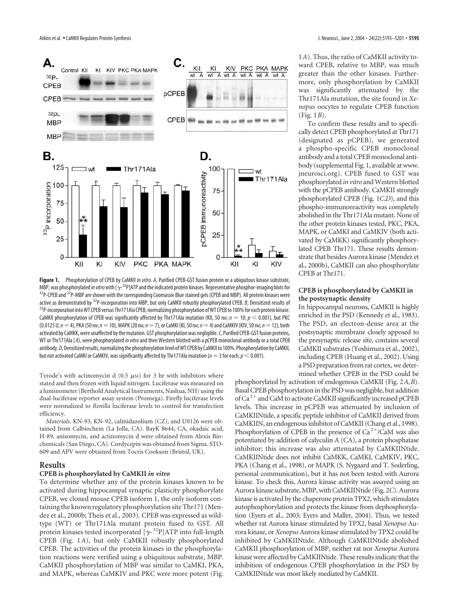

**Figure 1.** Phosphorylation of CPEB by CaMKII *in vitro*. *A*, Purified CPEB-GST fusion protein or a ubiquitous kinase substrate, MBP, was phosphorylated *in vitro* with  $[\gamma^{-32}P]$ ATP and the indicated protein kinases. Representative phosphor-imaging blots for <sup>32</sup>P-CPEB and <sup>32</sup>P-MBP are shown with the corresponding Coomassie Blue stained gels (CPEB and MBP). All protein kinases were active as demonstrated by <sup>32</sup>P-incorporation into MBP, but only CaMKII robustly phosphorylated CPEB. *B*, Densitized results of<br><sup>32</sup>P-incorporation into WT CPEB versus Thr171AIa CPEB, normalizing phosphorylation of WT CPE CaMKII phosphorylation of CPEB was significantly affected by Thr171Ala mutation (KII, 50 nm;  $n = 10$ ;  $p < 0.001$ ), but PKC  $(0.0125 \text{ U}; n = 4)$ , PKA (50 nm;  $n = 10$ ), MAPK (20 nm;  $n = 7$ ), or CaMKI (KI, 50 nm;  $n = 4$ ) and CaMKIV (KIV, 50 nm;  $n = 12$ ), both activated by CaMKK, were unaffected by the mutation. GST phosphorylation was negligible.*C*, Purified CPEB-GST fusion proteins, WT or Thr171Ala ( *A*), were phosphorylated*in vitro*and then Western blotted with a pCPEB monoclonal antibody or a total CPEB antibody. *D*, Densitized results, normalizing the phosphorylation level of WT CPEB by CaMKII to 100%. Phosphorylation by CaMKII, but not activated CaMKI or CaMKIV, was significantly affected by Thr171Ala mutation ( $n = 3$  for each;  $p < 0.001$ ).

Tyrode's with actinomycin d  $(0.5 \mu)$  for 3 hr with inhibitors where stated and then frozen with liquid nitrogen. Luciferase was measured on a luminometer (Berthold Analytical Instruments, Nashua, NH) using the dual-luciferase reporter assay system (Promega). Firefly luciferase levels were normalized to *Renilla* luciferase levels to control for transfection efficiency.

*Materials.* KN-93, KN-92, calmidazolium (CZ), and U0126 were obtained from Calbiochem (La Jolla, CA). BayK 8644, CA, okadaic acid, H-89, anisomycin, and actinomycin d were obtained from Alexis Biochemicals (San Diego, CA). Cordycepin was obtained from Sigma. STO-609 and APV were obtained from Tocris Cookson (Bristol, UK).

#### **Results**

### **CPEB is phosphorylated by CaMKII** *in vitro*

To determine whether any of the protein kinases known to be activated during hippocampal synaptic plasticity phosphorylate CPEB, we cloned mouse CPEB isoform 1, the only isoform containing the known regulatory phosphorylation site Thr171 (Mendez et al., 2000b; Theis et al., 2003). CPEB was expressed as wildtype (WT) or Thr171Ala mutant protein fused to GST. All protein kinases tested incorporated  $[\gamma^{-32}P]$ ATP into full-length CPEB (Fig. 1*A*), but only CaMKII robustly phosphorylated CPEB. The activities of the protein kinases in the phosphorylation reactions were verified using a ubiquitous substrate, MBP. CaMKII phosphorylation of MBP was similar to CaMKI, PKA, and MAPK, whereas CaMKIV and PKC were more potent (Fig.

1*A*). Thus, the ratio of CaMKII activity toward CPEB, relative to MBP, was much greater than the other kinases. Furthermore, only phosphorylation by CaMKII was significantly attenuated by the Thr171Ala mutation, the site found in *Xenopus* oocytes to regulate CPEB function (Fig. 1*B*).

To confirm these results and to specifically detect CPEB phosphorylated at Thr171 (designated as pCPEB), we generated a phospho-specific CPEB monoclonal antibody and a total CPEB monoclonal antibody (supplemental Fig. 1, available at www. jneurosci.org). CPEB fused to GST was phosphorylated *in vitro* and Western blotted with the pCPEB antibody. CaMKII strongly phosphorylated CPEB (Fig. 1*C*,*D*), and this phospho-immunoreactivity was completely abolished in the Thr171Ala mutant. None of the other protein kinases tested, PKC, PKA, MAPK, or CaMKI and CaMKIV (both activated by CaMKK) significantly phosphorylated CPEB Thr171. These results demonstrate that besides Aurora kinase (Mendez et al., 2000b), CaMKII can also phosphorylate CPEB at Thr171.

### **CPEB is phosphorylated by CaMKII in the postsynaptic density**

In hippocampal neurons, CaMKII is highly enriched in the PSD (Kennedy et al., 1983). The PSD, an electron-dense area at the postsynaptic membrane closely apposed to the presynaptic release site, contains several CaMKII substrates (Yoshimura et al., 2002), including CPEB (Huang et al., 2002). Using a PSD preparation from rat cortex, we determined whether CPEB in the PSD could be

phosphorylated by activation of endogenous CaMKII (Fig. 2*A*,*B*). Basal CPEB phosphorylation in the PSD was negligible, but addition of Ca<sup>2+</sup> and CaM to activate CaMKII significantly increased pCPEB levels. This increase in pCPEB was attenuated by inclusion of CaMKIINtide, a specific peptide inhibitor of CaMKII derived from CaMKIIN, an endogenous inhibitor of CaMKII (Chang et al., 1998). Phosphorylation of CPEB in the presence of  $Ca^{2+}/CaM$  was also potentiated by addition of calyculin A (CA), a protein phosphatase inhibitor; this increase was also attenuated by CaMKIINtide. CaMKIINtide does not inhibit CaMKK, CaMKI, CaMKIV, PKC, PKA (Chang et al., 1998), or MAPK (S. Nygaard and T. Soderling, personal communication), but it has not been tested with Aurora kinase. To check this, Aurora kinase activity was assayed using an Aurora kinase substrate, MBP, with CaMKIINtide (Fig. 2*C*). Aurora kinase is activated by the chaperone protein TPX2, which stimulates autophosphorylation and protects the kinase from dephosphorylation (Eyers et al., 2003; Eyers and Maller, 2004). Thus, we tested whether rat Aurora kinase stimulated by TPX2, basal *Xenopus* Aurora kinase, or *Xenopus* Aurora kinase stimulated by TPX2 could be inhibited by CaMKIINtide. Although CaMKIINtide abolished CaMKII phosphorylation of MBP, neither rat nor *Xenopus* Aurora kinase were affected by CaMKIINtide. These results indicate that the inhibition of endogenous CPEB phosphorylation in the PSD by CaMKIINtide was most likely mediated by CaMKII.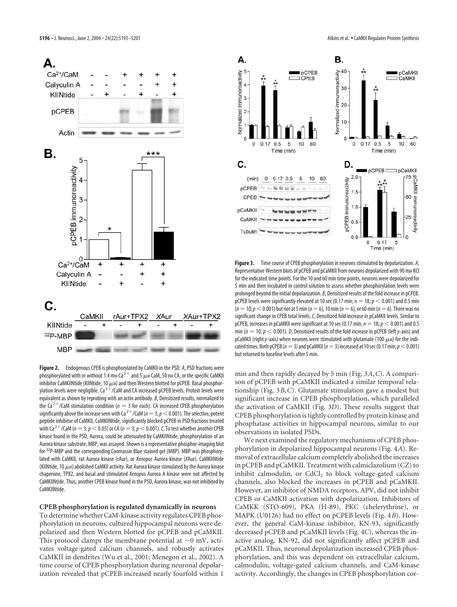

**Figure 2.** Endogenous CPEB is phosphorylated by CaMKII in the PSD. *A*, PSD fractions were phosphorylated with or without 1.4 mm Ca  $^{2+}$  and 5  $\mu$ m CaM, 50 nm CA, or the specific CaMKII inhibitor CaMKIINtide (KIINtide; 10  $\mu$ м) and then Western blotted for pCPEB. Basal phosphorylation levels were negligible. Ca <sup>2 +</sup> /CaM and CA increased pCPEB levels. Protein levels were equivalent as shown by reprobing with an actin antibody. *B*, Densitized results, normalized to the Ca<sup>2+</sup>/CaM stimulation condition ( $n = 3$  for each). CA increased CPEB phosphorylation significantly above the increase seen with Ca  $^{2+}$  /CaM ( $n=3$ ;  $p$   $<$  0.001). The selective, potent peptide inhibitor of CaMKII, CaMKIINtide, significantly blocked pCPEB in PSD fractions treated with Ca <sup>2 +</sup> /CaM ( $n = 3$ ;  $p <$  0.05) or CA ( $n = 3$ ;  $p <$  0.001).  $C$ , To test whether another CPEB kinase found in the PSD, Aurora, could be attenuated by CaMKIINtide, phosphorylation of an Aurora kinase substrate, MBP, was assayed. Shown is a representative phosphor-imaging blot for <sup>32</sup>P-MBP and the corresponding Coomassie Blue stained gel (MBP). MBP was phosphorylated with CaMKII, rat Aurora kinase (rAur), or *Xenopus* Aurora kinase (*X*Aur). CaMKIINtide (KIINtide, 10  $\mu$ м) abolished CaMKII activity. Rat Aurora kinase stimulated by the Aurora kinase chaperone, TPX2, and basal and stimulated *Xenopus* Aurora A kinase were not affected by CaMKIINtide. Thus, another CPEB kinase found in the PSD, Aurora kinase, was not inhibited by CaMKIINtide.

#### **CPEB phosphorylation is regulated dynamically in neurons**

To determine whether CaM-kinase activity regulates CPEB phosphorylation in neurons, cultured hippocampal neurons were depolarized and then Western blotted for pCPEB and pCaMKII. This protocol clamps the membrane potential at  $\sim$ 0 mV, activates voltage-gated calcium channels, and robustly activates CaMKII in dendrites (Wu et al., 2001; Menegon et al., 2002). A time course of CPEB phosphorylation during neuronal depolarization revealed that pCPEB increased nearly fourfold within 1



**Figure 3.** Time course of CPEB phosphorylation in neurons stimulated by depolarization. *A*, Representative Western blots of pCPEB and pCaMKII from neurons depolarized with 90 mm KCl for the indicated time points. For the 10 and 60 min time points, neurons were depolarized for 5 min and then incubated in control solution to assess whether phosphorylation levels were prolonged beyond the initial depolarization. *B*, Densitized results of the fold increase in pCPEB. pCPEB levels were significantly elevated at 10 sec (0.17 min;  $n = 18$ ;  $p < 0.001$ ) and 0.5 min  $(n = 10; p < 0.001)$  but not at 5 min ( $n = 6$ ), 10 min ( $n = 6$ ), or 60 min ( $n = 6$ ). There was no significant change in CPEB total levels.*C*, Densitized fold increase in pCaMKII levels. Similar to pCPEB, increases in pCaMKII were significant at 10 sec (0.17 min;  $n = 18$ ;  $p < 0.001$ ) and 0.5 min ( $n = 10$ ;  $p < 0.001$ ). *D*, Densitized results of the fold increase in pCPEB (left *y*-axis) and pCaMKII (right y-axis) when neurons were stimulated with glutamate (100  $\mu$ m) for the indicated times. Both pCPEB ( $n=3$ ) and pCaMKII ( $n=3$ ) increased at 10 sec (0.17 min;  $p<0.001$ ) but returned to baseline levels after 5 min.

min and then rapidly decayed by 5 min (Fig. 3*A*,*C*). A comparison of pCPEB with pCaMKII indicated a similar temporal relationship (Fig. 3*B*,*C*). Glutamate stimulation gave a modest but significant increase in CPEB phosphorylation, which paralleled the activation of CaMKII (Fig. 3*D*). These results suggest that CPEB phosphorylation is tightly controlled by protein kinase and phosphatase activities in hippocampal neurons, similar to our observations in isolated PSDs.

We next examined the regulatory mechanisms of CPEB phosphorylation in depolarized hippocampal neurons (Fig. 4*A*). Removal of extracellular calcium completely abolished the increases in pCPEB and pCaMKII. Treatment with calmiclazolium (CZ) to inhibit calmodulin, or CdCl<sub>2</sub> to block voltage-gated calcium channels, also blocked the increases in pCPEB and pCaMKII. However, an inhibitor of NMDA receptors, APV, did not inhibit CPEB or CaMKII activation with depolarization. Inhibitors of CaMKK (STO-609), PKA (H-89), PKC (chelerythrine), or MAPK (U0126) had no effect on pCPEB levels (Fig. 4*B*). However, the general CaM-kinase inhibitor, KN-93, significantly decreased pCPEB and pCaMKII levels (Fig. 4*C*), whereas the inactive analog, KN-92, did not significantly affect pCPEB and pCaMKII. Thus, neuronal depolarization increased CPEB phosphorylation, and this was dependent on extracellular calcium, calmodulin, voltage-gated calcium channels, and CaM-kinase activity. Accordingly, the changes in CPEB phosphorylation cor-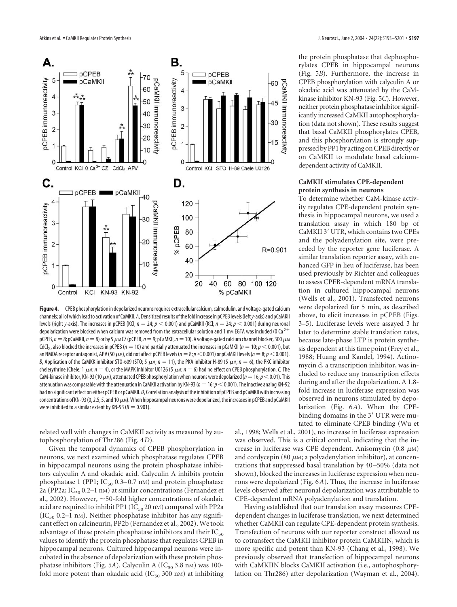

**Figure 4.** CPEB phosphorylation in depolarized neurons requires extracellular calcium, calmodulin, and voltage-gated calcium channels; all of which lead to activation of CaMKII. *A*, Densitized results of the fold increase in pCPEB levels (left*y*-axis) and pCaMKII levels (right *y*-axis). The increases in pCPEB (KCl;  $n = 24$ ;  $p < 0.001$ ) and pCaMKII (KCl;  $n = 24$ ;  $p < 0.001$ ) during neuronal depolarization were blocked when calcium was removed from the extracellular solution and 1 mm EGTA was included (0 Ca  $^{2+}$ pCPEB, *n* = 8; pCaMKII, *n* = 8) or by 5 μm CZ (pCPEB, *n* = 9; pCaMKII, *n* = 10). A voltage-gated calcium channel blocker, 300 μm CdCl<sub>2</sub>, also blocked the increases in pCPEB ( $n = 10$ ) and partially attenuated the increases in pCaMKII ( $n = 10$ ;  $p < 0.001$ ), but an NMDA receptor antagonist, APV (50  $\mu$ m), did not affect pCPEB levels ( $n=8; p<$  0.001) or pCaMKII levels ( $n=8; p<$  0.001). *B,* Application of the CaMKK inhibitor STO-609 (STO; 5  $\mu$ м;  $n=1$ ), the PKA inhibitor H-89 (5  $\mu$ м;  $n=6$ ), the PKC inhibitor chelerythrine (Chele; 1  $\mu$ m;  $n = 4$ ), or the MAPK inhibitor U0126 (5  $\mu$ m;  $n = 6$ ) had no effect on CPEB phosphorylation. *C*, The CaM-kinase inhibitor, KN-93 (10  $\mu$ m), attenuated CPEB phosphorylation when neurons were depolarized (*n*  $=$  16;  $p$   $<$  0.01). This attenuation was comparable with the attenuation in CaMKII activation by KN-93 ( $n=16$ ;  $p<$  0.001). The inactive analog KN-92 had no significant effect on either pCPEB or pCaMKII. *D*, Correlation analysis of the inhibition of pCPEB and pCaMKII with increasing concentrations of KN-93 (0, 2.5, 5, and 10  $\mu$ m). When hippocampal neurons were depolarized, the increases in pCPEB and pCaMKII were inhibited to a similar extent by KN-93 ( $R = 0.901$ ).

related well with changes in CaMKII activity as measured by autophosphorylation of Thr286 (Fig. 4*D*).

Given the temporal dynamics of CPEB phosphorylation in neurons, we next examined which phosphatase regulates CPEB in hippocampal neurons using the protein phosphatase inhibitors calyculin A and okadaic acid. Calyculin A inhibits protein phosphatase 1 (PP1;  $IC_{50}$  0.3–0.7 nM) and protein phosphatase 2a (PP2a; IC $_{50}$  0.2–1 nM) at similar concentrations (Fernandez et al., 2002). However,  $\sim$  50-fold higher concentrations of okadaic acid are required to inhibit PP1 ( $IC_{50}$  20 nm) compared with PP2a  $(IC_{50}$  0.2–1 nM). Neither phosphatase inhibitor has any significant effect on calcineurin, PP2b (Fernandez et al., 2002). We took advantage of these protein phosphatase inhibitors and their  $IC_{50}$ values to identify the protein phosphatase that regulates CPEB in hippocampal neurons. Cultured hippocampal neurons were incubated in the absence of depolarization with these protein phosphatase inhibitors (Fig. 5A). Calyculin A (IC<sub>50</sub> 3.8 nM) was 100fold more potent than okadaic acid  $(IC_{50} 300 \text{ nm})$  at inhibiting

the protein phosphatase that dephosphorylates CPEB in hippocampal neurons (Fig. 5*B*). Furthermore, the increase in CPEB phosphorylation with calyculin A or okadaic acid was attenuated by the CaMkinase inhibitor KN-93 (Fig. 5*C*). However, neither protein phosphatase inhibitor significantly increased CaMKII autophosphorylation (data not shown). These results suggest that basal CaMKII phosphorylates CPEB, and this phosphorylation is strongly suppressed by PP1 by acting on CPEB directly or on CaMKII to modulate basal calciumdependent activity of CaMKII.

### **CaMKII stimulates CPE-dependent protein synthesis in neurons**

To determine whether CaM-kinase activity regulates CPE-dependent protein synthesis in hippocampal neurons, we used a translation assay in which 180 bp of CaMKII 3' UTR, which contains two CPEs and the polyadenylation site, were preceded by the reporter gene luciferase. A similar translation reporter assay, with enhanced GFP in lieu of luciferase, has been used previously by Richter and colleagues to assess CPEB-dependent mRNA translation in cultured hippocampal neurons (Wells et al., 2001). Transfected neurons were depolarized for 5 min, as described above, to elicit increases in pCPEB (Figs. 3–5). Luciferase levels were assayed 3 hr later to determine stable translation rates, because late-phase LTP is protein synthesis dependent at this time point (Frey et al., 1988; Huang and Kandel, 1994). Actinomycin d, a transcription inhibitor, was included to reduce any transcription effects during and after the depolarization. A 1.8 fold increase in luciferase expression was observed in neurons stimulated by depolarization (Fig. 6*A*). When the CPEbinding domains in the 3' UTR were mutated to eliminate CPEB binding (Wu et

al., 1998; Wells et al., 2001), no increase in luciferase expression was observed. This is a critical control, indicating that the increase in luciferase was CPE dependent. Anisomycin  $(0.8 \mu)$ and cordycepin (80  $\mu$ м; a polyadenylation inhibitor), at concentrations that suppressed basal translation by 40–50% (data not shown), blocked the increases in luciferase expression when neurons were depolarized (Fig. 6*A*). Thus, the increase in luciferase levels observed after neuronal depolarization was attributable to CPE-dependent mRNA polyadenylation and translation.

Having established that our translation assay measures CPEdependent changes in luciferase translation, we next determined whether CaMKII can regulate CPE-dependent protein synthesis. Transfection of neurons with our reporter construct allowed us to cotransfect the CaMKII inhibitor protein CaMKIIN, which is more specific and potent than KN-93 (Chang et al., 1998). We previously observed that transfection of hippocampal neurons with CaMKIIN blocks CaMKII activation (i.e., autophosphorylation on Thr286) after depolarization (Wayman et al., 2004).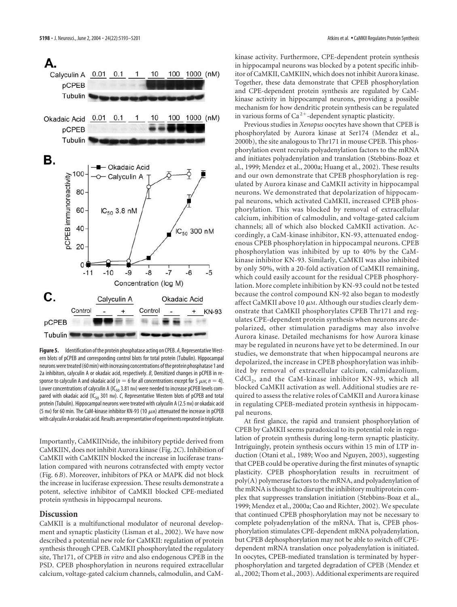А. Calyculin A 0.01 0.1  $\mathbf{1}$ 10 100 1000 (nM) pCPEB Tubulin  $0.1$ 100 1000  $(nM)$  $0.01$ **Okadaic Acid pCPEB** Tubulin В. **Okadaic Acid** 100 oCPEB immunoreactivity Calyculin A 80  $IC_{50}$  3.8 nM 60 40 IC<sub>50</sub> 300 nM 20  $0<sub>1</sub>$  $-10$  $-9$  $-8$  $-7$  $-6$  $-11$  $-5$ Concentration (log M)



**Figure 5.** Identification of the protein phosphatase acting on CPEB. *A*, Representative Western blots of pCPEB and corresponding control blots for total protein (Tubulin). Hippocampal neurons were treated (60 min) with increasing concentrations of the protein phosphatase 1 and 2a inhibitors, calyculin A or okadaic acid, respectively. *B*, Densitized changes in pCPEB in response to calyculin A and okadaic acid ( $n=6$  for all concentrations except for 5  $\mu$ м;  $n=4$ ). Lower concentrations of calyculin A (IC<sub>50</sub> 3.81 nm) were needed to increase pCPEB levels compared with okadaic acid (IC<sub>50</sub> 301 nm). *C*, Representative Western blots of pCPEB and total protein (Tubulin). Hippocampal neurons were treated with calyculin A (2.5 nm) or okadaic acid (5 nm) for 60 min. The CaM-kinase inhibitor KN-93 (10  $\mu$ m) attenuated the increase in pCPEB with calyculin A or okadaic acid. Results are representative of experiments repeated in triplicate.

Importantly, CaMKIINtide, the inhibitory peptide derived from CaMKIIN, does not inhibit Aurora kinase (Fig. 2*C*). Inhibition of CaMKII with CaMKIIN blocked the increase in luciferase translation compared with neurons cotransfected with empty vector (Fig. 6*B*). Moreover, inhibitors of PKA or MAPK did not block the increase in luciferase expression. These results demonstrate a potent, selective inhibitor of CaMKII blocked CPE-mediated protein synthesis in hippocampal neurons.

## **Discussion**

CaMKII is a multifunctional modulator of neuronal development and synaptic plasticity (Lisman et al., 2002). We have now described a potential new role for CaMKII: regulation of protein synthesis through CPEB. CaMKII phosphorylated the regulatory site, Thr171, of CPEB *in vitro* and also endogenous CPEB in the PSD. CPEB phosphorylation in neurons required extracellular calcium, voltage-gated calcium channels, calmodulin, and CaM-

kinase activity. Furthermore, CPE-dependent protein synthesis in hippocampal neurons was blocked by a potent specific inhibitor of CaMKII, CaMKIIN, which does not inhibit Aurora kinase. Together, these data demonstrate that CPEB phosphorylation and CPE-dependent protein synthesis are regulated by CaMkinase activity in hippocampal neurons, providing a possible mechanism for how dendritic protein synthesis can be regulated in various forms of  $Ca^{2+}$ -dependent synaptic plasticity.

Previous studies in *Xenopus* oocytes have shown that CPEB is phosphorylated by Aurora kinase at Ser174 (Mendez et al., 2000b), the site analogous to Thr171 in mouse CPEB. This phosphorylation event recruits polyadenylation factors to the mRNA and initiates polyadenylation and translation (Stebbins-Boaz et al., 1999; Mendez et al., 2000a; Huang et al., 2002). These results and our own demonstrate that CPEB phosphorylation is regulated by Aurora kinase and CaMKII activity in hippocampal neurons. We demonstrated that depolarization of hippocampal neurons, which activated CaMKII, increased CPEB phosphorylation. This was blocked by removal of extracellular calcium, inhibition of calmodulin, and voltage-gated calcium channels; all of which also blocked CaMKII activation. Accordingly, a CaM-kinase inhibitor, KN-93, attenuated endogenous CPEB phosphorylation in hippocampal neurons. CPEB phosphorylation was inhibited by up to 40% by the CaMkinase inhibitor KN-93. Similarly, CaMKII was also inhibited by only 50%, with a 20-fold activation of CaMKII remaining, which could easily account for the residual CPEB phosphorylation. More complete inhibition by KN-93 could not be tested because the control compound KN-92 also began to modestly affect CaMKII above 10  $\mu$ m. Although our studies clearly demonstrate that CaMKII phosphorylates CPEB Thr171 and regulates CPE-dependent protein synthesis when neurons are depolarized, other stimulation paradigms may also involve Aurora kinase. Detailed mechanisms for how Aurora kinase may be regulated in neurons have yet to be determined. In our studies, we demonstrate that when hippocampal neurons are depolarized, the increase in CPEB phosphorylation was inhibited by removal of extracellular calcium, calmidazolium, CdCl<sub>2</sub>, and the CaM-kinase inhibitor KN-93, which all blocked CaMKII activation as well. Additional studies are required to assess the relative roles of CaMKII and Aurora kinase in regulating CPEB-mediated protein synthesis in hippocampal neurons.

At first glance, the rapid and transient phosphorylation of CPEB by CaMKII seems paradoxical to its potential role in regulation of protein synthesis during long-term synaptic plasticity. Intriguingly, protein synthesis occurs within 15 min of LTP induction (Otani et al., 1989; Woo and Nguyen, 2003), suggesting that CPEB could be operative during the first minutes of synaptic plasticity. CPEB phosphorylation results in recruitment of poly(A) polymerase factors to the mRNA, and polyadenylation of the mRNA is thought to disrupt the inhibitory multiprotein complex that suppresses translation initiation (Stebbins-Boaz et al., 1999; Mendez et al., 2000a; Cao and Richter, 2002). We speculate that continued CPEB phosphorylation may not be necessary to complete polyadenylation of the mRNA. That is, CPEB phosphorylation stimulates CPE-dependent mRNA polyadenylation, but CPEB dephosphorylation may not be able to switch off CPEdependent mRNA translation once polyadenylation is initiated. In oocytes, CPEB-mediated translation is terminated by hyperphosphorylation and targeted degradation of CPEB (Mendez et al., 2002; Thom et al., 2003). Additional experiments are required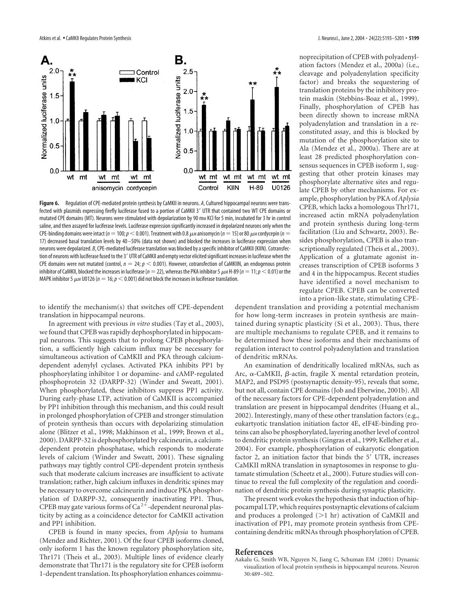

**Figure 6.** Regulation of CPE-mediated protein synthesis by CaMKII in neurons. *A*, Cultured hippocampal neurons were transfected with plasmids expressing firefly luciferase fused to a portion of CaMKII 3' UTR that contained two WT CPE domains or mutated CPE domains (MT). Neurons were stimulated with depolarization by 90 mm KCl for 5 min, incubated for 3 hr in control saline, and then assayed for luciferase levels. Luciferase expression significantly increased in depolarized neurons only when the CPE-binding domains were intact ( $n=100; p<$  0.001). Treatment with 0.8  $\mu$ m anisomycin ( $n=1$ 5) or 80  $\mu$ m cordycepin ( $n=1$ 17) decreased basal translation levels by 40 –50% (data not shown) and blocked the increases in luciferase expression when neurons were depolarized. *B*, CPE-mediated luciferase translation was blocked by a specific inhibitor of CaMKII (KIIN). Cotransfection of neurons with luciferase fused to the 3' UTR of CaMKII and empty vector elicited significant increases in luciferase when the CPE domains were not mutated (control,  $n = 24$ ;  $p < 0.001$ ). However, cotransfection of CaMKIIN, an endogenous protein inhibitor of CaMKII, blocked the increases in luciferase ( $n=$  22), whereas the PKA inhibitor 5  $\mu$ mH-89 ( $n=$  11;  $p$   $<$  0.01) or the MAPK inhibitor 5  $\mu$ m U0126 ( $\eta =$  16;  $\rho$   $<$  0.001) did not block the increases in luciferase translation.

to identify the mechanism(s) that switches off CPE-dependent translation in hippocampal neurons.

In agreement with previous *in vitro* studies (Tay et al., 2003), we found that CPEB was rapidly dephosphorylated in hippocampal neurons. This suggests that to prolong CPEB phosphorylation, a sufficiently high calcium influx may be necessary for simultaneous activation of CaMKII and PKA through calciumdependent adenylyl cyclases. Activated PKA inhibits PP1 by phosphorylating inhibitor 1 or dopamine- and cAMP-regulated phosphoprotein 32 (DARPP-32) (Winder and Sweatt, 2001). When phosphorylated, these inhibitors suppress PP1 activity. During early-phase LTP, activation of CaMKII is accompanied by PP1 inhibition through this mechanism, and this could result in prolonged phosphorylation of CPEB and stronger stimulation of protein synthesis than occurs with depolarizing stimulation alone (Blitzer et al., 1998; Makhinson et al., 1999; Brown et al., 2000). DARPP-32 is dephosphorylated by calcineurin, a calciumdependent protein phosphatase, which responds to moderate levels of calcium (Winder and Sweatt, 2001). These signaling pathways may tightly control CPE-dependent protein synthesis such that moderate calcium increases are insufficient to activate translation; rather, high calcium influxes in dendritic spines may be necessary to overcome calcineurin and induce PKA phosphorylation of DARPP-32, consequently inactivating PP1. Thus, CPEB may gate various forms of Ca<sup>2+</sup>-dependent neuronal plasticity by acting as a coincidence detector for CaMKII activation and PP1 inhibition.

CPEB is found in many species, from *Aplysia* to humans (Mendez and Richter, 2001). Of the four CPEB isoforms cloned, only isoform 1 has the known regulatory phosphorylation site, Thr171 (Theis et al., 2003). Multiple lines of evidence clearly demonstrate that Thr171 is the regulatory site for CPEB isoform 1-dependent translation. Its phosphorylation enhances coimmu-

noprecipitation of CPEB with polyadenylation factors (Mendez et al., 2000a) (i.e., cleavage and polyadenylation specificity factor) and breaks the sequestering of translation proteins by the inhibitory protein maskin (Stebbins-Boaz et al., 1999). Finally, phosphorylation of CPEB has been directly shown to increase mRNA polyadenylation and translation in a reconstituted assay, and this is blocked by mutation of the phosphorylation site to Ala (Mendez et al., 2000a). There are at least 28 predicted phosphorylation consensus sequences in CPEB isoform 1, suggesting that other protein kinases may phosphorylate alternative sites and regulate CPEB by other mechanisms. For example, phosphorylation by PKA of*Aplysia* CPEB, which lacks a homologous Thr171, increased actin mRNA polyadenylation and protein synthesis during long-term facilitation (Liu and Schwartz, 2003). Besides phosphorylation, CPEB is also transcriptionally regulated (Theis et al., 2003). Application of a glutamate agonist increases transcription of CPEB isoforms 3 and 4 in the hippocampus. Recent studies have identified a novel mechanism to regulate CPEB. CPEB can be converted into a prion-like state, stimulating CPE-

dependent translation and providing a potential mechanism for how long-term increases in protein synthesis are maintained during synaptic plasticity (Si et al., 2003). Thus, there are multiple mechanisms to regulate CPEB, and it remains to be determined how these isoforms and their mechanisms of regulation interact to control polyadenylation and translation of dendritic mRNAs.

An examination of dendritically localized mRNAs, such as Arc,  $\alpha$ -CaMKII,  $\beta$ -actin, fragile X mental retardation protein, MAP2, and PSD95 (postsynaptic density-95), reveals that some, but not all, contain CPE domains (Job and Eberwine, 2001b). All of the necessary factors for CPE-dependent polyadenylation and translation are present in hippocampal dendrites (Huang et al., 2002). Interestingly, many of these other translation factors (e.g., eukartyotic translation initiation factor 4E, eIF4E-binding proteins can also be phosphorylated, layering another level of control to dendritic protein synthesis (Gingras et al., 1999; Kelleher et al., 2004). For example, phosphorylation of eukaryotic elongation factor 2, an initiation factor that binds the 5' UTR, increases CaMKII mRNA translation in synaptosomes in response to glutamate stimulation (Scheetz et al., 2000). Future studies will continue to reveal the full complexity of the regulation and coordination of dendritic protein synthesis during synaptic plasticity.

The present work evokes the hypothesis that induction of hippocampal LTP, which requires postsynaptic elevations of calcium and produces a prolonged  $(>1$  hr) activation of CaMKII and inactivation of PP1, may promote protein synthesis from CPEcontaining dendritic mRNAs through phosphorylation of CPEB.

#### **References**

Aakalu G, Smith WB, Nguyen N, Jiang C, Schuman EM (2001) Dynamic visualization of local protein synthesis in hippocampal neurons. Neuron 30:489–502.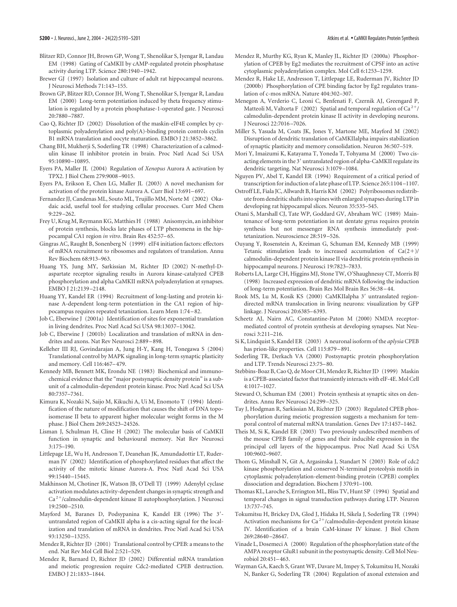- Blitzer RD, Connor JH, Brown GP, Wong T, Shenolikar S, Iyengar R, Landau EM (1998) Gating of CaMKII by cAMP-regulated protein phosphatase activity during LTP. Science 280:1940–1942.
- Brewer GJ (1997) Isolation and culture of adult rat hippocampal neurons. J Neurosci Methods 71:143–155.
- Brown GP, Blitzer RD, Connor JH, Wong T, Shenolikar S, Iyengar R, Landau EM (2000) Long-term potentiation induced by theta frequency stimulation is regulated by a protein phosphatase-1-operated gate. J Neurosci 20:7880–7887.
- Cao Q, Richter JD (2002) Dissolution of the maskin-eIF4E complex by cytoplasmic polyadenylation and poly(A)-binding protein controls cyclin B1 mRNA translation and oocyte maturation. EMBO J 21:3852–3862.
- Chang BH, Mukherji S, Soderling TR (1998) Characterization of a calmodulin kinase II inhibitor protein in brain. Proc Natl Acad Sci USA 95:10890–10895.
- Eyers PA, Maller JL (2004) Regulation of *Xenopus* Aurora A activation by TPX2. J Biol Chem 279:9008–9015.
- Eyers PA, Erikson E, Chen LG, Maller JL (2003) A novel mechanism for activation of the protein kinase Aurora A. Curr Biol 13:691–697.
- Fernandez JJ, Candenas ML, Souto ML, Trujillo MM, Norte M (2002) Okadaic acid, useful tool for studying cellular processes. Curr Med Chem 9:229–262.
- Frey U, Krug M, Reymann KG, Matthies H (1988) Anisomycin, an inhibitor of protein synthesis, blocks late phases of LTP phenomena in the hippocampal CA1 region *in vitro*. Brain Res 452:57–65.
- Gingras AC, Raught B, Sonenberg N (1999) eIF4 initiation factors: effectors of mRNA recruitment to ribosomes and regulators of translation. Annu Rev Biochem 68:913–963.
- Huang YS, Jung MY, Sarkissian M, Richter JD (2002) N-methyl-Daspartate receptor signaling results in Aurora kinase-catalyzed CPEB phosphorylation and alpha CaMKII mRNA polyadenylation at synapses. EMBO J 21:2139–2148.
- Huang YY, Kandel ER (1994) Recruitment of long-lasting and protein kinase A-dependent long-term potentiation in the CA1 region of hippocampus requires repeated tetanization. Learn Mem 1:74–82.
- Job C, Eberwine J (2001a) Identification of sites for exponential translation in living dendrites. Proc Natl Acad Sci USA 98:13037–13042.
- Job C, Eberwine J (2001b) Localization and translation of mRNA in dendrites and axons. Nat Rev Neurosci 2:889–898.
- Kelleher III RJ, Govindarajan A, Jung H-Y, Kang H, Tonegawa S (2004) Translational control by MAPK signaling in long-term synaptic plasticity and memory. Cell 116:467–479.
- Kennedy MB, Bennett MK, Erondu NE (1983) Biochemical and immunochemical evidence that the "major postsynaptic density protein" is a subunit of a calmodulin-dependent protein kinase. Proc Natl Acad Sci USA 80:7357–7361.
- Kimura K, Nozaki N, Saijo M, Kikuchi A, Ui M, Enomoto T (1994) Identification of the nature of modification that causes the shift of DNA topoisomerase II beta to apparent higher molecular weight forms in the M phase. J Biol Chem 269:24523–24526.
- Lisman J, Schulman H, Cline H (2002) The molecular basis of CaMKII function in synaptic and behavioural memory. Nat Rev Neurosci 3:175–190.
- Littlepage LE, Wu H, Andresson T, Deanehan JK, Amundadottir LT, Ruderman JV (2002) Identification of phosphorylated residues that affect the activity of the mitotic kinase Aurora-A. Proc Natl Acad Sci USA 99:15440–15445.
- Makhinson M, Chotiner JK, Watson JB, O'Dell TJ (1999) Adenylyl cyclase activation modulates activity-dependent changes in synaptic strength and Ca<sup>2+</sup>/calmodulin-dependent kinase II autophosphorylation. J Neurosci 19:2500–2510.
- Mayford M, Baranes D, Podsypanina K, Kandel ER (1996) The 3 untranslated region of CaMKII alpha is a cis-acting signal for the localization and translation of mRNA in dendrites. Proc Natl Acad Sci USA 93:13250–13255.
- Mendez R, Richter JD (2001) Translational control by CPEB: a means to the end. Nat Rev Mol Cell Biol 2:521–529.
- Mendez R, Barnard D, Richter JD (2002) Differential mRNA translation and meiotic progression require Cdc2-mediated CPEB destruction. EMBO J 21:1833–1844.
- Mendez R, Murthy KG, Ryan K, Manley JL, Richter JD (2000a) Phosphorylation of CPEB by Eg2 mediates the recruitment of CPSF into an active cytoplasmic polyadenylation complex. Mol Cell 6:1253–1259.
- Mendez R, Hake LE, Andresson T, Littlepage LE, Ruderman JV, Richter JD (2000b) Phosphorylation of CPE binding factor by Eg2 regulates translation of c-mos mRNA. Nature 404:302–307.
- Menegon A, Verderio C, Leoni C, Benfenati F, Czernik AJ, Greengard P, Matteoli M, Valtorta F (2002) Spatial and temporal regulation of Ca<sup>2+</sup>/ calmodulin-dependent protein kinase II activity in developing neurons. J Neurosci 22:7016–7026.
- Miller S, Yasuda M, Coats JK, Jones Y, Martone ME, Mayford M (2002) Disruption of dendritic translation of CaMKIIalpha impairs stabilization of synaptic plasticity and memory consolidation. Neuron 36:507–519.
- Mori Y, Imaizumi K, Katayama T, Yoneda T, Tohyama M (2000) Two cisacting elements in the 3' untranslated region of alpha-CaMKII regulate its dendritic targeting. Nat Neurosci 3:1079–1084.
- Nguyen PV, Abel T, Kandel ER (1994) Requirement of a critical period of transcription for induction of a late phase of LTP. Science 265:1104–1107.
- Ostroff LE, Fiala JC, Allwardt B, Harris KM (2002) Polyribosomes redistribute from dendritic shafts into spines with enlarged synapses during LTP in developing rat hippocampal slices. Neuron 35:535–545.
- Otani S, Marshall CJ, Tate WP, Goddard GV, Abraham WC (1989) Maintenance of long-term potentiation in rat dentate gyrus requires protein synthesis but not messenger RNA synthesis immediately posttetanization. Neuroscience 28:519–526.
- Ouyang Y, Rosenstein A, Kreiman G, Schuman EM, Kennedy MB (1999) Tetanic stimulation leads to increased accumulation of  $Ca(2+)$ / calmodulin-dependent protein kinase II via dendritic protein synthesis in hippocampal neurons. J Neurosci 19:7823–7833.
- Roberts LA, Large CH, Higgins MJ, Stone TW, O'Shaughnessy CT, Morris BJ (1998) Increased expression of dendritic mRNA following the induction of long-term potentiation. Brain Res Mol Brain Res 56:38–44.
- Rook MS, Lu M, Kosik KS (2000) CaMKIIalpha 3' untranslated regiondirected mRNA translocation in living neurons: visualization by GFP linkage. J Neurosci 20:6385–6393.
- Scheetz AJ, Nairn AC, Constantine-Paton M (2000) NMDA receptormediated control of protein synthesis at developing synapses. Nat Neurosci 3:211–216.
- Si K, Lindquist S, Kandel ER (2003) A neuronal isoform of the *aplysia* CPEB has prion-like properties. Cell 115:879–891.
- Soderling TR, Derkach VA (2000) Postsynaptic protein phosphorylation and LTP. Trends Neurosci 23:75–80.
- Stebbins-Boaz B, Cao Q, de Moor CH, Mendez R, Richter JD (1999) Maskin is a CPEB-associated factor that transiently interacts with elF-4E. Mol Cell 4:1017–1027.
- Steward O, Schuman EM (2001) Protein synthesis at synaptic sites on dendrites. Annu Rev Neurosci 24:299–325.
- Tay J, Hodgman R, Sarkissian M, Richter JD (2003) Regulated CPEB phosphorylation during meiotic progression suggests a mechanism for temporal control of maternal mRNA translation. Genes Dev 17:1457–1462.
- Theis M, Si K, Kandel ER (2003) Two previously undescribed members of the mouse CPEB family of genes and their inducible expression in the principal cell layers of the hippocampus. Proc Natl Acad Sci USA 100:9602–9607.
- Thom G, Minshall N, Git A, Argasinska J, Standart N (2003) Role of cdc2 kinase phosphorylation and conserved N-terminal proteolysis motifs in cytoplasmic polyadenylation-element-binding protein (CPEB) complex dissociation and degradation. Biochem J 370:91–100.
- Thomas KL, Laroche S, Errington ML, Bliss TV, Hunt SP (1994) Spatial and temporal changes in signal transduction pathways during LTP. Neuron 13:737–745.
- Tokumitsu H, Brickey DA, Glod J, Hidaka H, Sikela J, Soderling TR (1994) Activation mechanisms for  $Ca^{2+}/cal$ calmodulin-dependent protein kinase IV. Identification of a brain CaM-kinase IV kinase. J Biol Chem 269:28640–28647.
- Vinade L, Dosemeci A (2000) Regulation of the phosphorylation state of the AMPA receptor GluR1 subunit in the postsynaptic density. Cell Mol Neurobiol 20:451–463.
- Wayman GA, Kaech S, Grant WF, Davare M, Impey S, Tokumitsu H, Nozaki N, Banker G, Soderling TR (2004) Regulation of axonal extension and